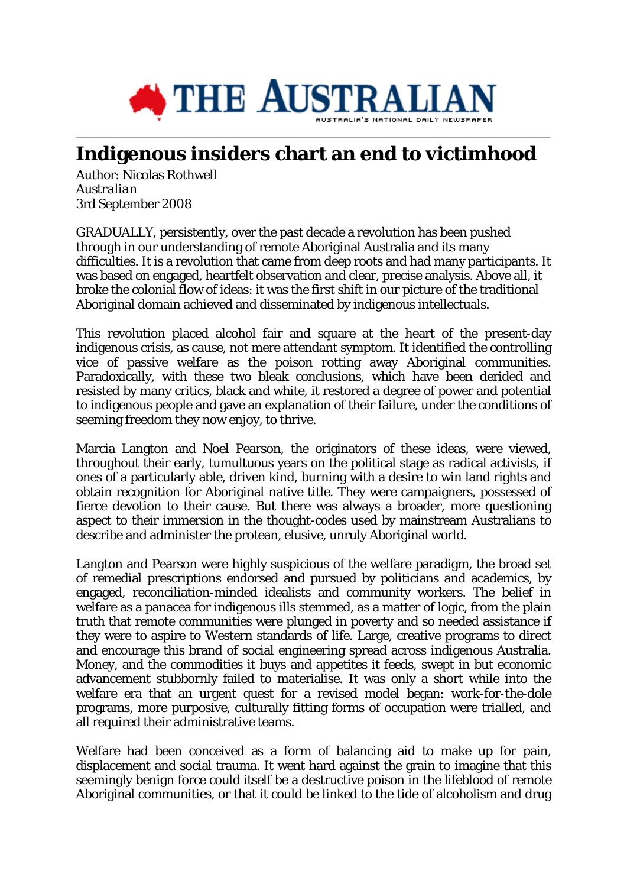

## **Indigenous insiders chart an end to victimhood**

Author: Nicolas Rothwell *Australian* 3rd September 2008

GRADUALLY, persistently, over the past decade a revolution has been pushed through in our understanding of remote Aboriginal Australia and its many difficulties. It is a revolution that came from deep roots and had many participants. It was based on engaged, heartfelt observation and clear, precise analysis. Above all, it broke the colonial flow of ideas: it was the first shift in our picture of the traditional Aboriginal domain achieved and disseminated by indigenous intellectuals.

This revolution placed alcohol fair and square at the heart of the present-day indigenous crisis, as cause, not mere attendant symptom. It identified the controlling vice of passive welfare as the poison rotting away Aboriginal communities. Paradoxically, with these two bleak conclusions, which have been derided and resisted by many critics, black and white, it restored a degree of power and potential to indigenous people and gave an explanation of their failure, under the conditions of seeming freedom they now enjoy, to thrive.

Marcia Langton and Noel Pearson, the originators of these ideas, were viewed, throughout their early, tumultuous years on the political stage as radical activists, if ones of a particularly able, driven kind, burning with a desire to win land rights and obtain recognition for Aboriginal native title. They were campaigners, possessed of fierce devotion to their cause. But there was always a broader, more questioning aspect to their immersion in the thought-codes used by mainstream Australians to describe and administer the protean, elusive, unruly Aboriginal world.

Langton and Pearson were highly suspicious of the welfare paradigm, the broad set of remedial prescriptions endorsed and pursued by politicians and academics, by engaged, reconciliation-minded idealists and community workers. The belief in welfare as a panacea for indigenous ills stemmed, as a matter of logic, from the plain truth that remote communities were plunged in poverty and so needed assistance if they were to aspire to Western standards of life. Large, creative programs to direct and encourage this brand of social engineering spread across indigenous Australia. Money, and the commodities it buys and appetites it feeds, swept in but economic advancement stubbornly failed to materialise. It was only a short while into the welfare era that an urgent quest for a revised model began: work-for-the-dole programs, more purposive, culturally fitting forms of occupation were trialled, and all required their administrative teams.

Welfare had been conceived as a form of balancing aid to make up for pain, displacement and social trauma. It went hard against the grain to imagine that this seemingly benign force could itself be a destructive poison in the lifeblood of remote Aboriginal communities, or that it could be linked to the tide of alcoholism and drug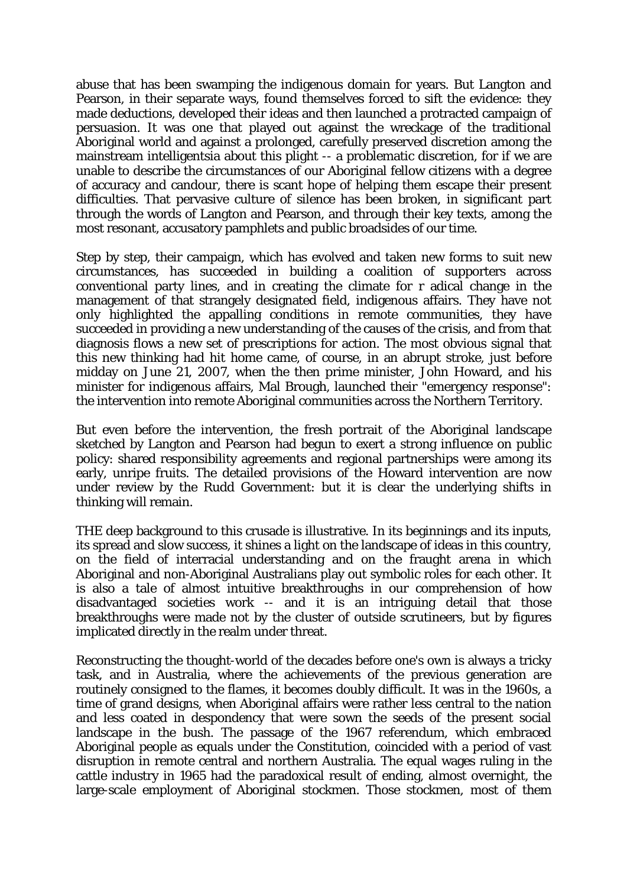abuse that has been swamping the indigenous domain for years. But Langton and Pearson, in their separate ways, found themselves forced to sift the evidence: they made deductions, developed their ideas and then launched a protracted campaign of persuasion. It was one that played out against the wreckage of the traditional Aboriginal world and against a prolonged, carefully preserved discretion among the mainstream intelligentsia about this plight -- a problematic discretion, for if we are unable to describe the circumstances of our Aboriginal fellow citizens with a degree of accuracy and candour, there is scant hope of helping them escape their present difficulties. That pervasive culture of silence has been broken, in significant part through the words of Langton and Pearson, and through their key texts, among the most resonant, accusatory pamphlets and public broadsides of our time.

Step by step, their campaign, which has evolved and taken new forms to suit new circumstances, has succeeded in building a coalition of supporters across conventional party lines, and in creating the climate for r adical change in the management of that strangely designated field, indigenous affairs. They have not only highlighted the appalling conditions in remote communities, they have succeeded in providing a new understanding of the causes of the crisis, and from that diagnosis flows a new set of prescriptions for action. The most obvious signal that this new thinking had hit home came, of course, in an abrupt stroke, just before midday on June 21, 2007, when the then prime minister, John Howard, and his minister for indigenous affairs, Mal Brough, launched their "emergency response": the intervention into remote Aboriginal communities across the Northern Territory.

But even before the intervention, the fresh portrait of the Aboriginal landscape sketched by Langton and Pearson had begun to exert a strong influence on public policy: shared responsibility agreements and regional partnerships were among its early, unripe fruits. The detailed provisions of the Howard intervention are now under review by the Rudd Government: but it is clear the underlying shifts in thinking will remain.

THE deep background to this crusade is illustrative. In its beginnings and its inputs, its spread and slow success, it shines a light on the landscape of ideas in this country, on the field of interracial understanding and on the fraught arena in which Aboriginal and non-Aboriginal Australians play out symbolic roles for each other. It is also a tale of almost intuitive breakthroughs in our comprehension of how disadvantaged societies work -- and it is an intriguing detail that those breakthroughs were made not by the cluster of outside scrutineers, but by figures implicated directly in the realm under threat.

Reconstructing the thought-world of the decades before one's own is always a tricky task, and in Australia, where the achievements of the previous generation are routinely consigned to the flames, it becomes doubly difficult. It was in the 1960s, a time of grand designs, when Aboriginal affairs were rather less central to the nation and less coated in despondency that were sown the seeds of the present social landscape in the bush. The passage of the 1967 referendum, which embraced Aboriginal people as equals under the Constitution, coincided with a period of vast disruption in remote central and northern Australia. The equal wages ruling in the cattle industry in 1965 had the paradoxical result of ending, almost overnight, the large-scale employment of Aboriginal stockmen. Those stockmen, most of them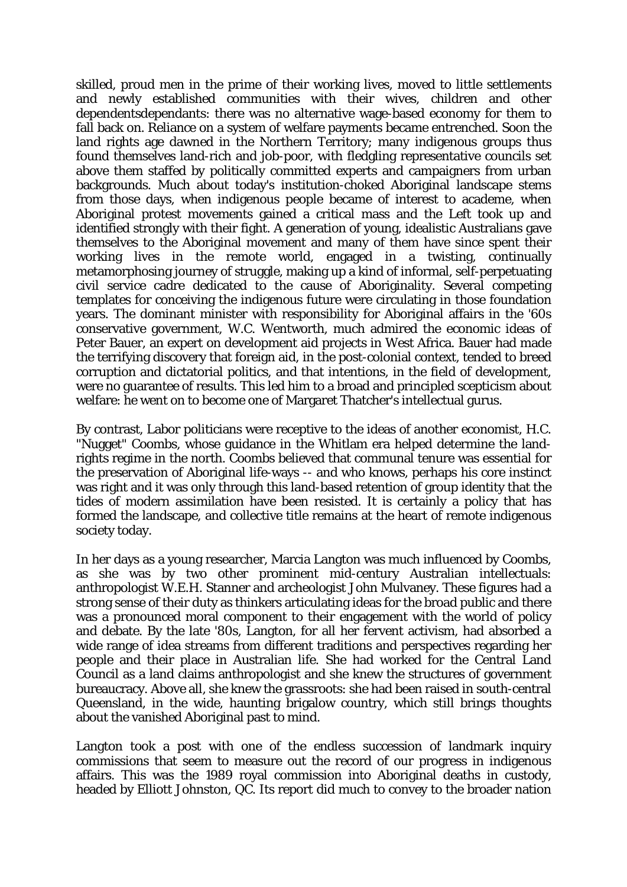skilled, proud men in the prime of their working lives, moved to little settlements and newly established communities with their wives, children and other dependentsdependants: there was no alternative wage-based economy for them to fall back on. Reliance on a system of welfare payments became entrenched. Soon the land rights age dawned in the Northern Territory; many indigenous groups thus found themselves land-rich and job-poor, with fledgling representative councils set above them staffed by politically committed experts and campaigners from urban backgrounds. Much about today's institution-choked Aboriginal landscape stems from those days, when indigenous people became of interest to academe, when Aboriginal protest movements gained a critical mass and the Left took up and identified strongly with their fight. A generation of young, idealistic Australians gave themselves to the Aboriginal movement and many of them have since spent their working lives in the remote world, engaged in a twisting, continually metamorphosing journey of struggle, making up a kind of informal, self-perpetuating civil service cadre dedicated to the cause of Aboriginality. Several competing templates for conceiving the indigenous future were circulating in those foundation years. The dominant minister with responsibility for Aboriginal affairs in the '60s conservative government, W.C. Wentworth, much admired the economic ideas of Peter Bauer, an expert on development aid projects in West Africa. Bauer had made the terrifying discovery that foreign aid, in the post-colonial context, tended to breed corruption and dictatorial politics, and that intentions, in the field of development, were no guarantee of results. This led him to a broad and principled scepticism about welfare: he went on to become one of Margaret Thatcher's intellectual gurus.

By contrast, Labor politicians were receptive to the ideas of another economist, H.C. "Nugget" Coombs, whose guidance in the Whitlam era helped determine the landrights regime in the north. Coombs believed that communal tenure was essential for the preservation of Aboriginal life-ways -- and who knows, perhaps his core instinct was right and it was only through this land-based retention of group identity that the tides of modern assimilation have been resisted. It is certainly a policy that has formed the landscape, and collective title remains at the heart of remote indigenous society today.

In her days as a young researcher, Marcia Langton was much influenced by Coombs, as she was by two other prominent mid-century Australian intellectuals: anthropologist W.E.H. Stanner and archeologist John Mulvaney. These figures had a strong sense of their duty as thinkers articulating ideas for the broad public and there was a pronounced moral component to their engagement with the world of policy and debate. By the late '80s, Langton, for all her fervent activism, had absorbed a wide range of idea streams from different traditions and perspectives regarding her people and their place in Australian life. She had worked for the Central Land Council as a land claims anthropologist and she knew the structures of government bureaucracy. Above all, she knew the grassroots: she had been raised in south-central Queensland, in the wide, haunting brigalow country, which still brings thoughts about the vanished Aboriginal past to mind.

Langton took a post with one of the endless succession of landmark inquiry commissions that seem to measure out the record of our progress in indigenous affairs. This was the 1989 royal commission into Aboriginal deaths in custody, headed by Elliott Johnston, QC. Its report did much to convey to the broader nation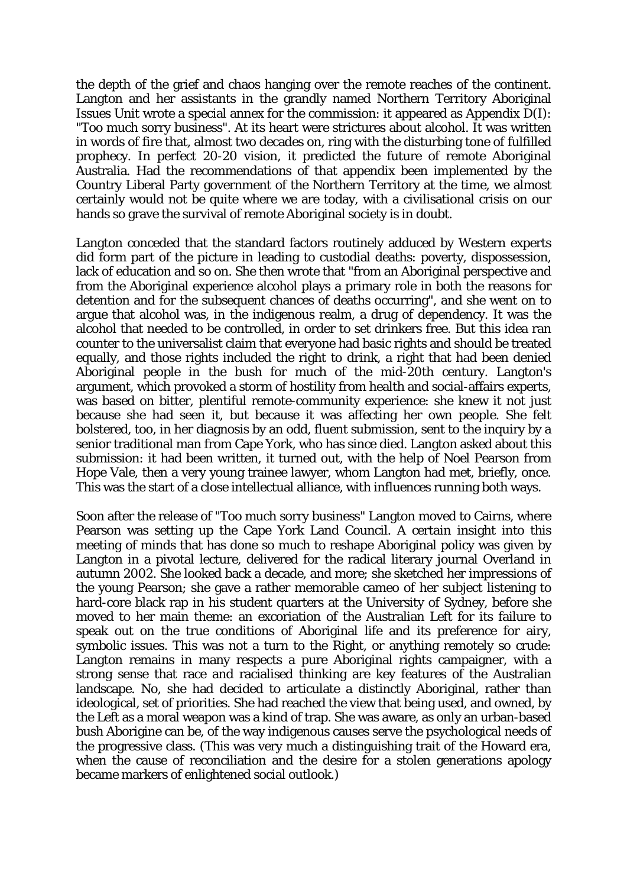the depth of the grief and chaos hanging over the remote reaches of the continent. Langton and her assistants in the grandly named Northern Territory Aboriginal Issues Unit wrote a special annex for the commission: it appeared as Appendix D(I): "Too much sorry business". At its heart were strictures about alcohol. It was written in words of fire that, almost two decades on, ring with the disturbing tone of fulfilled prophecy. In perfect 20-20 vision, it predicted the future of remote Aboriginal Australia. Had the recommendations of that appendix been implemented by the Country Liberal Party government of the Northern Territory at the time, we almost certainly would not be quite where we are today, with a civilisational crisis on our hands so grave the survival of remote Aboriginal society is in doubt.

Langton conceded that the standard factors routinely adduced by Western experts did form part of the picture in leading to custodial deaths: poverty, dispossession, lack of education and so on. She then wrote that "from an Aboriginal perspective and from the Aboriginal experience alcohol plays a primary role in both the reasons for detention and for the subsequent chances of deaths occurring", and she went on to argue that alcohol was, in the indigenous realm, a drug of dependency. It was the alcohol that needed to be controlled, in order to set drinkers free. But this idea ran counter to the universalist claim that everyone had basic rights and should be treated equally, and those rights included the right to drink, a right that had been denied Aboriginal people in the bush for much of the mid-20th century. Langton's argument, which provoked a storm of hostility from health and social-affairs experts, was based on bitter, plentiful remote-community experience: she knew it not just because she had seen it, but because it was affecting her own people. She felt bolstered, too, in her diagnosis by an odd, fluent submission, sent to the inquiry by a senior traditional man from Cape York, who has since died. Langton asked about this submission: it had been written, it turned out, with the help of Noel Pearson from Hope Vale, then a very young trainee lawyer, whom Langton had met, briefly, once. This was the start of a close intellectual alliance, with influences running both ways.

Soon after the release of "Too much sorry business" Langton moved to Cairns, where Pearson was setting up the Cape York Land Council. A certain insight into this meeting of minds that has done so much to reshape Aboriginal policy was given by Langton in a pivotal lecture, delivered for the radical literary journal Overland in autumn 2002. She looked back a decade, and more; she sketched her impressions of the young Pearson; she gave a rather memorable cameo of her subject listening to hard-core black rap in his student quarters at the University of Sydney, before she moved to her main theme: an excoriation of the Australian Left for its failure to speak out on the true conditions of Aboriginal life and its preference for airy, symbolic issues. This was not a turn to the Right, or anything remotely so crude: Langton remains in many respects a pure Aboriginal rights campaigner, with a strong sense that race and racialised thinking are key features of the Australian landscape. No, she had decided to articulate a distinctly Aboriginal, rather than ideological, set of priorities. She had reached the view that being used, and owned, by the Left as a moral weapon was a kind of trap. She was aware, as only an urban-based bush Aborigine can be, of the way indigenous causes serve the psychological needs of the progressive class. (This was very much a distinguishing trait of the Howard era, when the cause of reconciliation and the desire for a stolen generations apology became markers of enlightened social outlook.)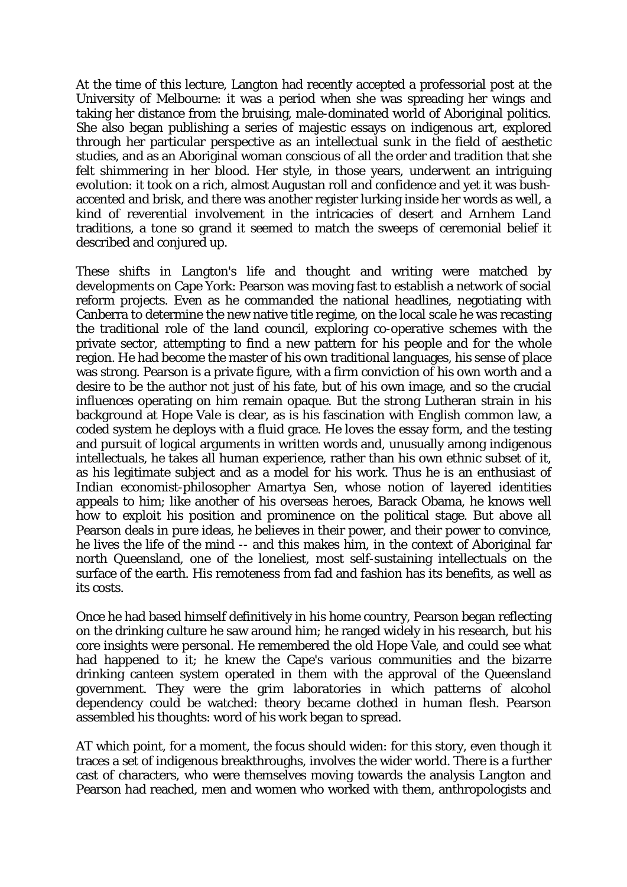At the time of this lecture, Langton had recently accepted a professorial post at the University of Melbourne: it was a period when she was spreading her wings and taking her distance from the bruising, male-dominated world of Aboriginal politics. She also began publishing a series of majestic essays on indigenous art, explored through her particular perspective as an intellectual sunk in the field of aesthetic studies, and as an Aboriginal woman conscious of all the order and tradition that she felt shimmering in her blood. Her style, in those years, underwent an intriguing evolution: it took on a rich, almost Augustan roll and confidence and yet it was bushaccented and brisk, and there was another register lurking inside her words as well, a kind of reverential involvement in the intricacies of desert and Arnhem Land traditions, a tone so grand it seemed to match the sweeps of ceremonial belief it described and conjured up.

These shifts in Langton's life and thought and writing were matched by developments on Cape York: Pearson was moving fast to establish a network of social reform projects. Even as he commanded the national headlines, negotiating with Canberra to determine the new native title regime, on the local scale he was recasting the traditional role of the land council, exploring co-operative schemes with the private sector, attempting to find a new pattern for his people and for the whole region. He had become the master of his own traditional languages, his sense of place was strong. Pearson is a private figure, with a firm conviction of his own worth and a desire to be the author not just of his fate, but of his own image, and so the crucial influences operating on him remain opaque. But the strong Lutheran strain in his background at Hope Vale is clear, as is his fascination with English common law, a coded system he deploys with a fluid grace. He loves the essay form, and the testing and pursuit of logical arguments in written words and, unusually among indigenous intellectuals, he takes all human experience, rather than his own ethnic subset of it, as his legitimate subject and as a model for his work. Thus he is an enthusiast of Indian economist-philosopher Amartya Sen, whose notion of layered identities appeals to him; like another of his overseas heroes, Barack Obama, he knows well how to exploit his position and prominence on the political stage. But above all Pearson deals in pure ideas, he believes in their power, and their power to convince, he lives the life of the mind -- and this makes him, in the context of Aboriginal far north Queensland, one of the loneliest, most self-sustaining intellectuals on the surface of the earth. His remoteness from fad and fashion has its benefits, as well as its costs.

Once he had based himself definitively in his home country, Pearson began reflecting on the drinking culture he saw around him; he ranged widely in his research, but his core insights were personal. He remembered the old Hope Vale, and could see what had happened to it; he knew the Cape's various communities and the bizarre drinking canteen system operated in them with the approval of the Queensland government. They were the grim laboratories in which patterns of alcohol dependency could be watched: theory became clothed in human flesh. Pearson assembled his thoughts: word of his work began to spread.

AT which point, for a moment, the focus should widen: for this story, even though it traces a set of indigenous breakthroughs, involves the wider world. There is a further cast of characters, who were themselves moving towards the analysis Langton and Pearson had reached, men and women who worked with them, anthropologists and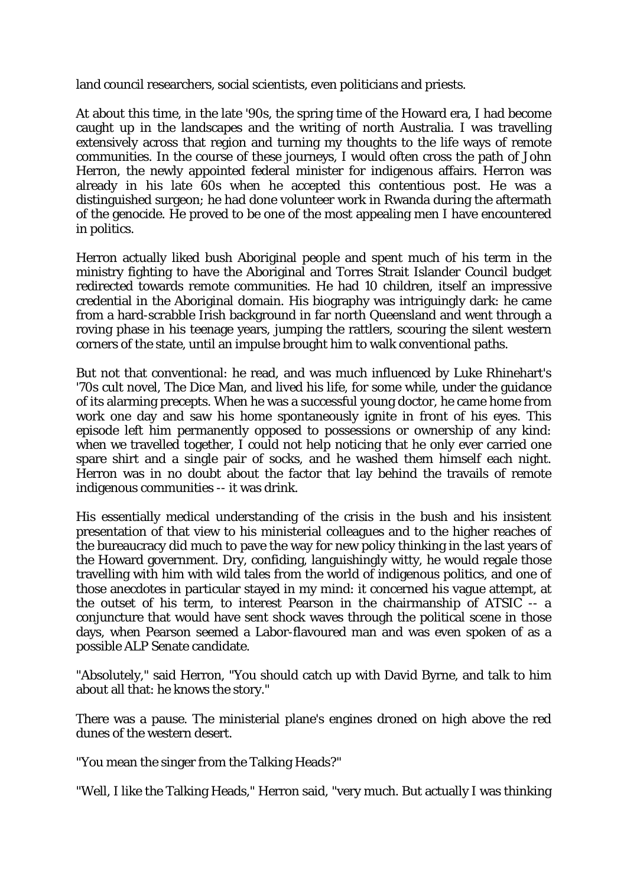land council researchers, social scientists, even politicians and priests.

At about this time, in the late '90s, the spring time of the Howard era, I had become caught up in the landscapes and the writing of north Australia. I was travelling extensively across that region and turning my thoughts to the life ways of remote communities. In the course of these journeys, I would often cross the path of John Herron, the newly appointed federal minister for indigenous affairs. Herron was already in his late 60s when he accepted this contentious post. He was a distinguished surgeon; he had done volunteer work in Rwanda during the aftermath of the genocide. He proved to be one of the most appealing men I have encountered in politics.

Herron actually liked bush Aboriginal people and spent much of his term in the ministry fighting to have the Aboriginal and Torres Strait Islander Council budget redirected towards remote communities. He had 10 children, itself an impressive credential in the Aboriginal domain. His biography was intriguingly dark: he came from a hard-scrabble Irish background in far north Queensland and went through a roving phase in his teenage years, jumping the rattlers, scouring the silent western corners of the state, until an impulse brought him to walk conventional paths.

But not that conventional: he read, and was much influenced by Luke Rhinehart's '70s cult novel, The Dice Man, and lived his life, for some while, under the guidance of its alarming precepts. When he was a successful young doctor, he came home from work one day and saw his home spontaneously ignite in front of his eyes. This episode left him permanently opposed to possessions or ownership of any kind: when we travelled together, I could not help noticing that he only ever carried one spare shirt and a single pair of socks, and he washed them himself each night. Herron was in no doubt about the factor that lay behind the travails of remote indigenous communities -- it was drink.

His essentially medical understanding of the crisis in the bush and his insistent presentation of that view to his ministerial colleagues and to the higher reaches of the bureaucracy did much to pave the way for new policy thinking in the last years of the Howard government. Dry, confiding, languishingly witty, he would regale those travelling with him with wild tales from the world of indigenous politics, and one of those anecdotes in particular stayed in my mind: it concerned his vague attempt, at the outset of his term, to interest Pearson in the chairmanship of ATSIC -- a conjuncture that would have sent shock waves through the political scene in those days, when Pearson seemed a Labor-flavoured man and was even spoken of as a possible ALP Senate candidate.

"Absolutely," said Herron, "You should catch up with David Byrne, and talk to him about all that: he knows the story."

There was a pause. The ministerial plane's engines droned on high above the red dunes of the western desert.

"You mean the singer from the Talking Heads?"

"Well, I like the Talking Heads," Herron said, "very much. But actually I was thinking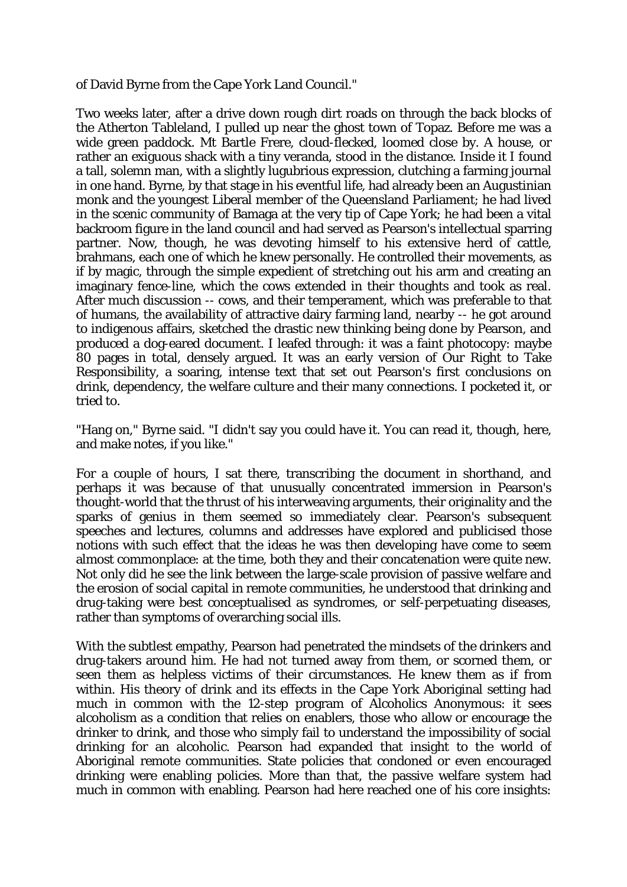of David Byrne from the Cape York Land Council."

Two weeks later, after a drive down rough dirt roads on through the back blocks of the Atherton Tableland, I pulled up near the ghost town of Topaz. Before me was a wide green paddock. Mt Bartle Frere, cloud-flecked, loomed close by. A house, or rather an exiguous shack with a tiny veranda, stood in the distance. Inside it I found a tall, solemn man, with a slightly lugubrious expression, clutching a farming journal in one hand. Byrne, by that stage in his eventful life, had already been an Augustinian monk and the youngest Liberal member of the Queensland Parliament; he had lived in the scenic community of Bamaga at the very tip of Cape York; he had been a vital backroom figure in the land council and had served as Pearson's intellectual sparring partner. Now, though, he was devoting himself to his extensive herd of cattle, brahmans, each one of which he knew personally. He controlled their movements, as if by magic, through the simple expedient of stretching out his arm and creating an imaginary fence-line, which the cows extended in their thoughts and took as real. After much discussion -- cows, and their temperament, which was preferable to that of humans, the availability of attractive dairy farming land, nearby -- he got around to indigenous affairs, sketched the drastic new thinking being done by Pearson, and produced a dog-eared document. I leafed through: it was a faint photocopy: maybe 80 pages in total, densely argued. It was an early version of Our Right to Take Responsibility, a soaring, intense text that set out Pearson's first conclusions on drink, dependency, the welfare culture and their many connections. I pocketed it, or tried to.

"Hang on," Byrne said. "I didn't say you could have it. You can read it, though, here, and make notes, if you like."

For a couple of hours, I sat there, transcribing the document in shorthand, and perhaps it was because of that unusually concentrated immersion in Pearson's thought-world that the thrust of his interweaving arguments, their originality and the sparks of genius in them seemed so immediately clear. Pearson's subsequent speeches and lectures, columns and addresses have explored and publicised those notions with such effect that the ideas he was then developing have come to seem almost commonplace: at the time, both they and their concatenation were quite new. Not only did he see the link between the large-scale provision of passive welfare and the erosion of social capital in remote communities, he understood that drinking and drug-taking were best conceptualised as syndromes, or self-perpetuating diseases, rather than symptoms of overarching social ills.

With the subtlest empathy, Pearson had penetrated the mindsets of the drinkers and drug-takers around him. He had not turned away from them, or scorned them, or seen them as helpless victims of their circumstances. He knew them as if from within. His theory of drink and its effects in the Cape York Aboriginal setting had much in common with the 12-step program of Alcoholics Anonymous: it sees alcoholism as a condition that relies on enablers, those who allow or encourage the drinker to drink, and those who simply fail to understand the impossibility of social drinking for an alcoholic. Pearson had expanded that insight to the world of Aboriginal remote communities. State policies that condoned or even encouraged drinking were enabling policies. More than that, the passive welfare system had much in common with enabling. Pearson had here reached one of his core insights: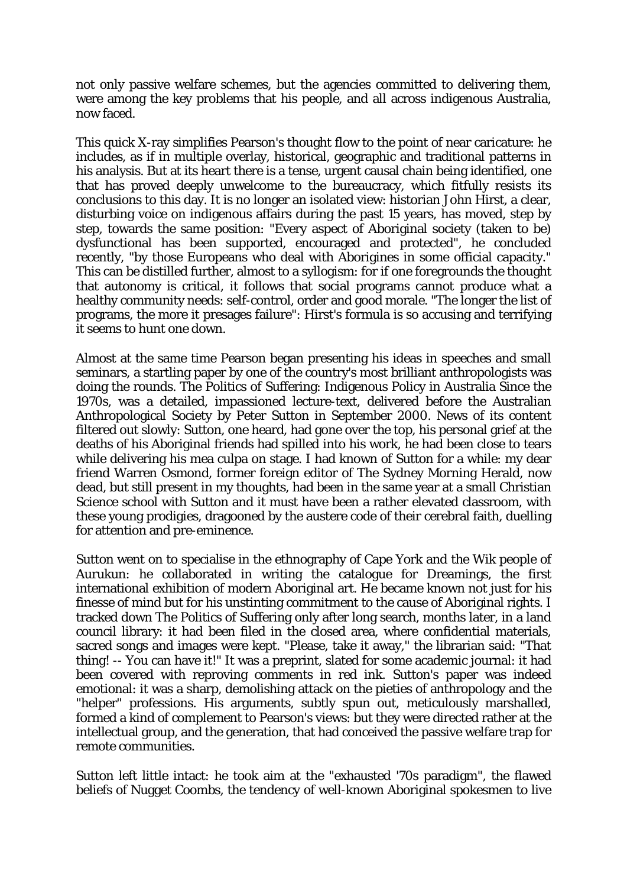not only passive welfare schemes, but the agencies committed to delivering them, were among the key problems that his people, and all across indigenous Australia, now faced.

This quick X-ray simplifies Pearson's thought flow to the point of near caricature: he includes, as if in multiple overlay, historical, geographic and traditional patterns in his analysis. But at its heart there is a tense, urgent causal chain being identified, one that has proved deeply unwelcome to the bureaucracy, which fitfully resists its conclusions to this day. It is no longer an isolated view: historian John Hirst, a clear, disturbing voice on indigenous affairs during the past 15 years, has moved, step by step, towards the same position: "Every aspect of Aboriginal society (taken to be) dysfunctional has been supported, encouraged and protected", he concluded recently, "by those Europeans who deal with Aborigines in some official capacity." This can be distilled further, almost to a syllogism: for if one foregrounds the thought that autonomy is critical, it follows that social programs cannot produce what a healthy community needs: self-control, order and good morale. "The longer the list of programs, the more it presages failure": Hirst's formula is so accusing and terrifying it seems to hunt one down.

Almost at the same time Pearson began presenting his ideas in speeches and small seminars, a startling paper by one of the country's most brilliant anthropologists was doing the rounds. The Politics of Suffering: Indigenous Policy in Australia Since the 1970s, was a detailed, impassioned lecture-text, delivered before the Australian Anthropological Society by Peter Sutton in September 2000. News of its content filtered out slowly: Sutton, one heard, had gone over the top, his personal grief at the deaths of his Aboriginal friends had spilled into his work, he had been close to tears while delivering his mea culpa on stage. I had known of Sutton for a while: my dear friend Warren Osmond, former foreign editor of The Sydney Morning Herald, now dead, but still present in my thoughts, had been in the same year at a small Christian Science school with Sutton and it must have been a rather elevated classroom, with these young prodigies, dragooned by the austere code of their cerebral faith, duelling for attention and pre-eminence.

Sutton went on to specialise in the ethnography of Cape York and the Wik people of Aurukun: he collaborated in writing the catalogue for Dreamings, the first international exhibition of modern Aboriginal art. He became known not just for his finesse of mind but for his unstinting commitment to the cause of Aboriginal rights. I tracked down The Politics of Suffering only after long search, months later, in a land council library: it had been filed in the closed area, where confidential materials, sacred songs and images were kept. "Please, take it away," the librarian said: "That thing! -- You can have it!" It was a preprint, slated for some academic journal: it had been covered with reproving comments in red ink. Sutton's paper was indeed emotional: it was a sharp, demolishing attack on the pieties of anthropology and the "helper" professions. His arguments, subtly spun out, meticulously marshalled, formed a kind of complement to Pearson's views: but they were directed rather at the intellectual group, and the generation, that had conceived the passive welfare trap for remote communities.

Sutton left little intact: he took aim at the "exhausted '70s paradigm", the flawed beliefs of Nugget Coombs, the tendency of well-known Aboriginal spokesmen to live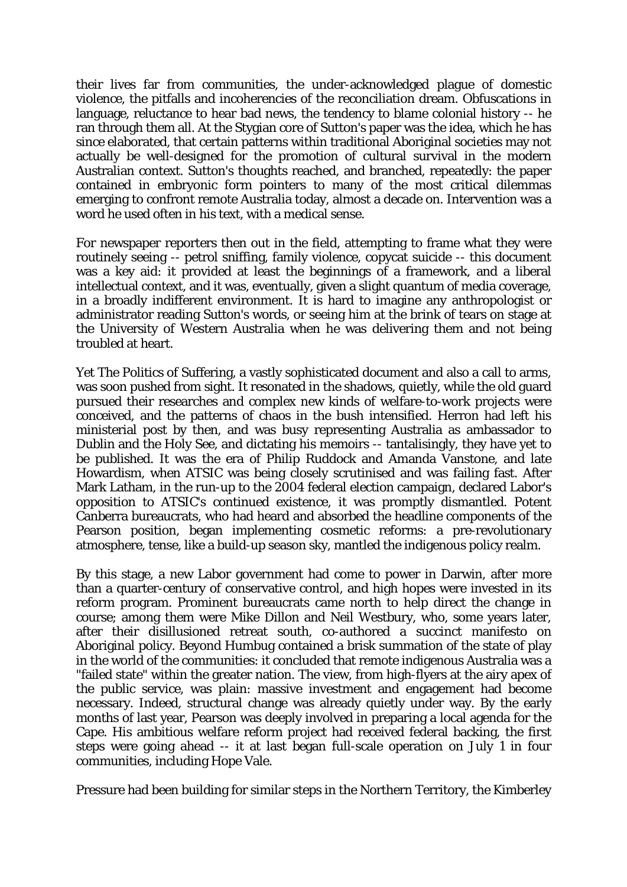their lives far from communities, the under-acknowledged plague of domestic violence, the pitfalls and incoherencies of the reconciliation dream. Obfuscations in language, reluctance to hear bad news, the tendency to blame colonial history -- he ran through them all. At the Stygian core of Sutton's paper was the idea, which he has since elaborated, that certain patterns within traditional Aboriginal societies may not actually be well-designed for the promotion of cultural survival in the modern Australian context. Sutton's thoughts reached, and branched, repeatedly: the paper contained in embryonic form pointers to many of the most critical dilemmas emerging to confront remote Australia today, almost a decade on. Intervention was a word he used often in his text, with a medical sense.

For newspaper reporters then out in the field, attempting to frame what they were routinely seeing -- petrol sniffing, family violence, copycat suicide -- this document was a key aid: it provided at least the beginnings of a framework, and a liberal intellectual context, and it was, eventually, given a slight quantum of media coverage, in a broadly indifferent environment. It is hard to imagine any anthropologist or administrator reading Sutton's words, or seeing him at the brink of tears on stage at the University of Western Australia when he was delivering them and not being troubled at heart.

Yet The Politics of Suffering, a vastly sophisticated document and also a call to arms, was soon pushed from sight. It resonated in the shadows, quietly, while the old guard pursued their researches and complex new kinds of welfare-to-work projects were conceived, and the patterns of chaos in the bush intensified. Herron had left his ministerial post by then, and was busy representing Australia as ambassador to Dublin and the Holy See, and dictating his memoirs -- tantalisingly, they have yet to be published. It was the era of Philip Ruddock and Amanda Vanstone, and late Howardism, when ATSIC was being closely scrutinised and was failing fast. After Mark Latham, in the run-up to the 2004 federal election campaign, declared Labor's opposition to ATSIC's continued existence, it was promptly dismantled. Potent Canberra bureaucrats, who had heard and absorbed the headline components of the Pearson position, began implementing cosmetic reforms: a pre-revolutionary atmosphere, tense, like a build-up season sky, mantled the indigenous policy realm.

By this stage, a new Labor government had come to power in Darwin, after more than a quarter-century of conservative control, and high hopes were invested in its reform program. Prominent bureaucrats came north to help direct the change in course; among them were Mike Dillon and Neil Westbury, who, some years later, after their disillusioned retreat south, co-authored a succinct manifesto on Aboriginal policy. Beyond Humbug contained a brisk summation of the state of play in the world of the communities: it concluded that remote indigenous Australia was a "failed state" within the greater nation. The view, from high-flyers at the airy apex of the public service, was plain: massive investment and engagement had become necessary. Indeed, structural change was already quietly under way. By the early months of last year, Pearson was deeply involved in preparing a local agenda for the Cape. His ambitious welfare reform project had received federal backing, the first steps were going ahead -- it at last began full-scale operation on July 1 in four communities, including Hope Vale.

Pressure had been building for similar steps in the Northern Territory, the Kimberley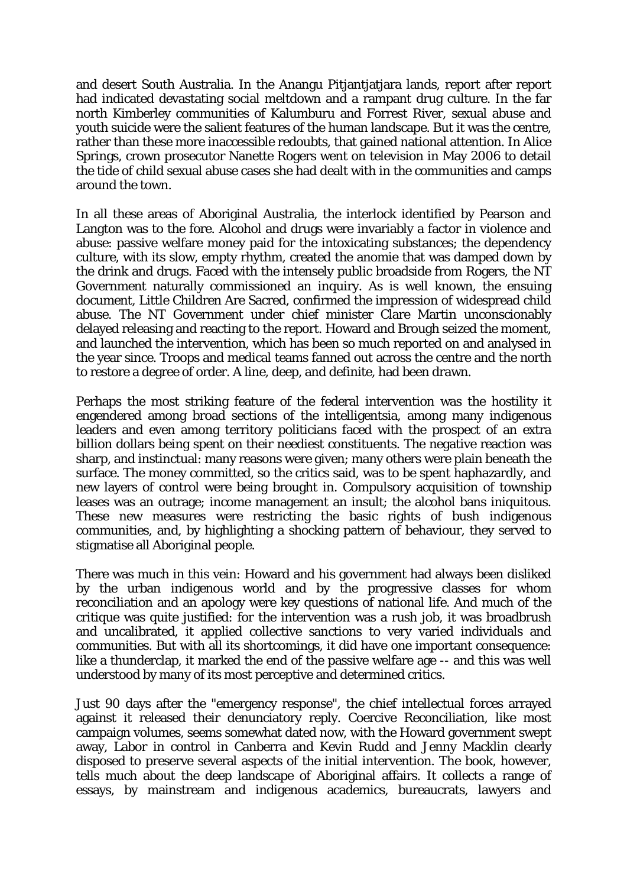and desert South Australia. In the Anangu Pitjantjatjara lands, report after report had indicated devastating social meltdown and a rampant drug culture. In the far north Kimberley communities of Kalumburu and Forrest River, sexual abuse and youth suicide were the salient features of the human landscape. But it was the centre, rather than these more inaccessible redoubts, that gained national attention. In Alice Springs, crown prosecutor Nanette Rogers went on television in May 2006 to detail the tide of child sexual abuse cases she had dealt with in the communities and camps around the town.

In all these areas of Aboriginal Australia, the interlock identified by Pearson and Langton was to the fore. Alcohol and drugs were invariably a factor in violence and abuse: passive welfare money paid for the intoxicating substances; the dependency culture, with its slow, empty rhythm, created the anomie that was damped down by the drink and drugs. Faced with the intensely public broadside from Rogers, the NT Government naturally commissioned an inquiry. As is well known, the ensuing document, Little Children Are Sacred, confirmed the impression of widespread child abuse. The NT Government under chief minister Clare Martin unconscionably delayed releasing and reacting to the report. Howard and Brough seized the moment, and launched the intervention, which has been so much reported on and analysed in the year since. Troops and medical teams fanned out across the centre and the north to restore a degree of order. A line, deep, and definite, had been drawn.

Perhaps the most striking feature of the federal intervention was the hostility it engendered among broad sections of the intelligentsia, among many indigenous leaders and even among territory politicians faced with the prospect of an extra billion dollars being spent on their neediest constituents. The negative reaction was sharp, and instinctual: many reasons were given; many others were plain beneath the surface. The money committed, so the critics said, was to be spent haphazardly, and new layers of control were being brought in. Compulsory acquisition of township leases was an outrage; income management an insult; the alcohol bans iniquitous. These new measures were restricting the basic rights of bush indigenous communities, and, by highlighting a shocking pattern of behaviour, they served to stigmatise all Aboriginal people.

There was much in this vein: Howard and his government had always been disliked by the urban indigenous world and by the progressive classes for whom reconciliation and an apology were key questions of national life. And much of the critique was quite justified: for the intervention was a rush job, it was broadbrush and uncalibrated, it applied collective sanctions to very varied individuals and communities. But with all its shortcomings, it did have one important consequence: like a thunderclap, it marked the end of the passive welfare age -- and this was well understood by many of its most perceptive and determined critics.

Just 90 days after the "emergency response", the chief intellectual forces arrayed against it released their denunciatory reply. Coercive Reconciliation, like most campaign volumes, seems somewhat dated now, with the Howard government swept away, Labor in control in Canberra and Kevin Rudd and Jenny Macklin clearly disposed to preserve several aspects of the initial intervention. The book, however, tells much about the deep landscape of Aboriginal affairs. It collects a range of essays, by mainstream and indigenous academics, bureaucrats, lawyers and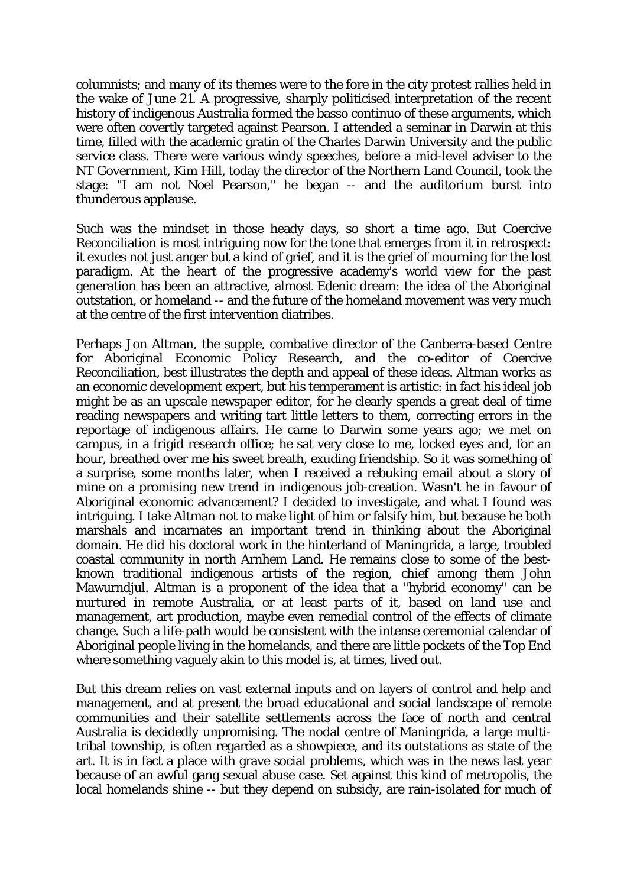columnists; and many of its themes were to the fore in the city protest rallies held in the wake of June 21. A progressive, sharply politicised interpretation of the recent history of indigenous Australia formed the basso continuo of these arguments, which were often covertly targeted against Pearson. I attended a seminar in Darwin at this time, filled with the academic gratin of the Charles Darwin University and the public service class. There were various windy speeches, before a mid-level adviser to the NT Government, Kim Hill, today the director of the Northern Land Council, took the stage: "I am not Noel Pearson," he began -- and the auditorium burst into thunderous applause.

Such was the mindset in those heady days, so short a time ago. But Coercive Reconciliation is most intriguing now for the tone that emerges from it in retrospect: it exudes not just anger but a kind of grief, and it is the grief of mourning for the lost paradigm. At the heart of the progressive academy's world view for the past generation has been an attractive, almost Edenic dream: the idea of the Aboriginal outstation, or homeland -- and the future of the homeland movement was very much at the centre of the first intervention diatribes.

Perhaps Jon Altman, the supple, combative director of the Canberra-based Centre for Aboriginal Economic Policy Research, and the co-editor of Coercive Reconciliation, best illustrates the depth and appeal of these ideas. Altman works as an economic development expert, but his temperament is artistic: in fact his ideal job might be as an upscale newspaper editor, for he clearly spends a great deal of time reading newspapers and writing tart little letters to them, correcting errors in the reportage of indigenous affairs. He came to Darwin some years ago; we met on campus, in a frigid research office; he sat very close to me, locked eyes and, for an hour, breathed over me his sweet breath, exuding friendship. So it was something of a surprise, some months later, when I received a rebuking email about a story of mine on a promising new trend in indigenous job-creation. Wasn't he in favour of Aboriginal economic advancement? I decided to investigate, and what I found was intriguing. I take Altman not to make light of him or falsify him, but because he both marshals and incarnates an important trend in thinking about the Aboriginal domain. He did his doctoral work in the hinterland of Maningrida, a large, troubled coastal community in north Arnhem Land. He remains close to some of the bestknown traditional indigenous artists of the region, chief among them John Mawurndjul. Altman is a proponent of the idea that a "hybrid economy" can be nurtured in remote Australia, or at least parts of it, based on land use and management, art production, maybe even remedial control of the effects of climate change. Such a life-path would be consistent with the intense ceremonial calendar of Aboriginal people living in the homelands, and there are little pockets of the Top End where something vaguely akin to this model is, at times, lived out.

But this dream relies on vast external inputs and on layers of control and help and management, and at present the broad educational and social landscape of remote communities and their satellite settlements across the face of north and central Australia is decidedly unpromising. The nodal centre of Maningrida, a large multitribal township, is often regarded as a showpiece, and its outstations as state of the art. It is in fact a place with grave social problems, which was in the news last year because of an awful gang sexual abuse case. Set against this kind of metropolis, the local homelands shine -- but they depend on subsidy, are rain-isolated for much of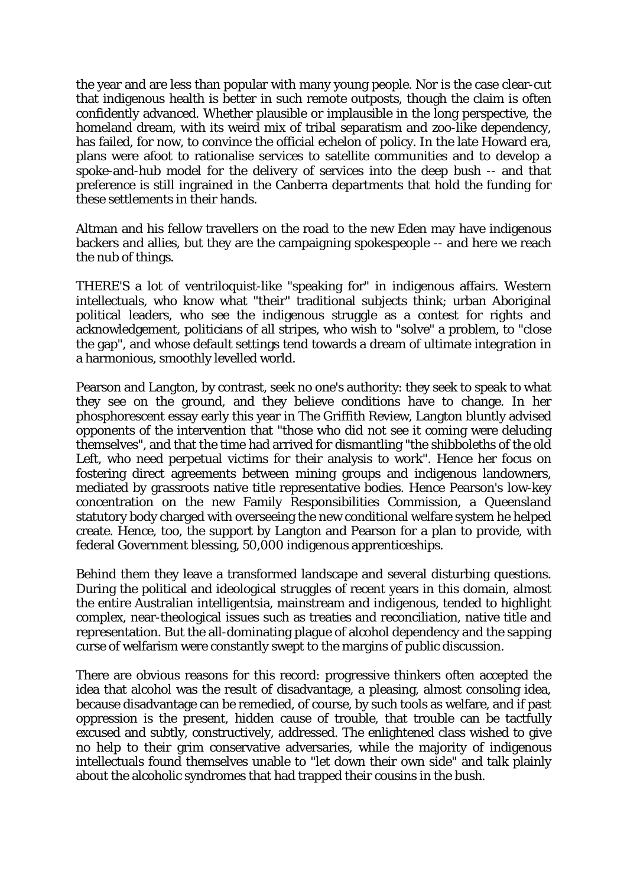the year and are less than popular with many young people. Nor is the case clear-cut that indigenous health is better in such remote outposts, though the claim is often confidently advanced. Whether plausible or implausible in the long perspective, the homeland dream, with its weird mix of tribal separatism and zoo-like dependency, has failed, for now, to convince the official echelon of policy. In the late Howard era, plans were afoot to rationalise services to satellite communities and to develop a spoke-and-hub model for the delivery of services into the deep bush -- and that preference is still ingrained in the Canberra departments that hold the funding for these settlements in their hands.

Altman and his fellow travellers on the road to the new Eden may have indigenous backers and allies, but they are the campaigning spokespeople -- and here we reach the nub of things.

THERE'S a lot of ventriloquist-like "speaking for" in indigenous affairs. Western intellectuals, who know what "their" traditional subjects think; urban Aboriginal political leaders, who see the indigenous struggle as a contest for rights and acknowledgement, politicians of all stripes, who wish to "solve" a problem, to "close the gap", and whose default settings tend towards a dream of ultimate integration in a harmonious, smoothly levelled world.

Pearson and Langton, by contrast, seek no one's authority: they seek to speak to what they see on the ground, and they believe conditions have to change. In her phosphorescent essay early this year in The Griffith Review, Langton bluntly advised opponents of the intervention that "those who did not see it coming were deluding themselves", and that the time had arrived for dismantling "the shibboleths of the old Left, who need perpetual victims for their analysis to work". Hence her focus on fostering direct agreements between mining groups and indigenous landowners, mediated by grassroots native title representative bodies. Hence Pearson's low-key concentration on the new Family Responsibilities Commission, a Queensland statutory body charged with overseeing the new conditional welfare system he helped create. Hence, too, the support by Langton and Pearson for a plan to provide, with federal Government blessing, 50,000 indigenous apprenticeships.

Behind them they leave a transformed landscape and several disturbing questions. During the political and ideological struggles of recent years in this domain, almost the entire Australian intelligentsia, mainstream and indigenous, tended to highlight complex, near-theological issues such as treaties and reconciliation, native title and representation. But the all-dominating plague of alcohol dependency and the sapping curse of welfarism were constantly swept to the margins of public discussion.

There are obvious reasons for this record: progressive thinkers often accepted the idea that alcohol was the result of disadvantage, a pleasing, almost consoling idea, because disadvantage can be remedied, of course, by such tools as welfare, and if past oppression is the present, hidden cause of trouble, that trouble can be tactfully excused and subtly, constructively, addressed. The enlightened class wished to give no help to their grim conservative adversaries, while the majority of indigenous intellectuals found themselves unable to "let down their own side" and talk plainly about the alcoholic syndromes that had trapped their cousins in the bush.